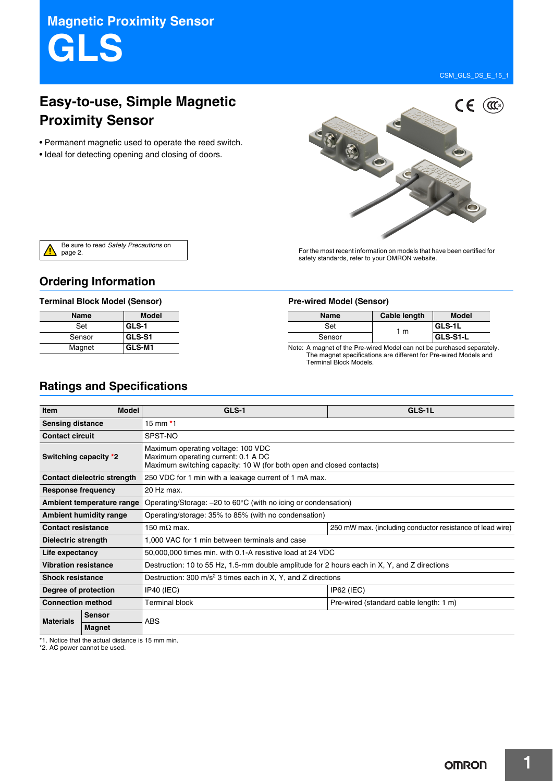CSM\_GLS\_DS\_E\_15\_1

# **Easy-to-use, Simple Magnetic Proximity Sensor**

- Permanent magnetic used to operate the reed switch.
- Ideal for detecting opening and closing of doors.



Be sure to read *Safety Precautions* on page 2.

For the most recent information on models that have been certified for safety standards, refer to your OMRON website.

## **Ordering Information**

#### **Terminal Block Model (Sensor) Pre-wired Model (Sensor)**

| <b>Name</b> | <b>Model</b> |
|-------------|--------------|
| Set         | GLS-1        |
| Sensor      | GLS-S1       |
| Magnet      | GLS-M1       |

| <b>Name</b> | Cable length | <b>Model</b> |
|-------------|--------------|--------------|
| Set         | 1 m          | GLS-1L       |
| Sensor      |              | GLS-S1-L     |

Note: A magnet of the Pre-wired Model can not be purchased separately. The magnet specifications are different for Pre-wired Models and Terminal Block Models.

## **Ratings and Specifications**

| Item                        | <b>Model</b>                | GLS-1                                                                                                                                             | GLS-1L                                                    |  |
|-----------------------------|-----------------------------|---------------------------------------------------------------------------------------------------------------------------------------------------|-----------------------------------------------------------|--|
| <b>Sensing distance</b>     |                             | 15 mm $*1$                                                                                                                                        |                                                           |  |
| <b>Contact circuit</b>      |                             | SPST-NO                                                                                                                                           |                                                           |  |
| Switching capacity *2       |                             | Maximum operating voltage: 100 VDC<br>Maximum operating current: 0.1 A DC<br>Maximum switching capacity: 10 W (for both open and closed contacts) |                                                           |  |
|                             | Contact dielectric strength | 250 VDC for 1 min with a leakage current of 1 mA max.                                                                                             |                                                           |  |
| Response frequency          |                             | 20 Hz max.                                                                                                                                        |                                                           |  |
|                             | Ambient temperature range   | Operating/Storage: $-20$ to 60 $\degree$ C (with no icing or condensation)                                                                        |                                                           |  |
|                             | Ambient humidity range      | Operating/storage: 35% to 85% (with no condensation)                                                                                              |                                                           |  |
| <b>Contact resistance</b>   |                             | 150 m $\Omega$ max.                                                                                                                               | 250 mW max. (including conductor resistance of lead wire) |  |
| Dielectric strength         |                             | 1,000 VAC for 1 min between terminals and case                                                                                                    |                                                           |  |
| Life expectancy             |                             | 50,000,000 times min. with 0.1-A resistive load at 24 VDC                                                                                         |                                                           |  |
| <b>Vibration resistance</b> |                             | Destruction: 10 to 55 Hz, 1.5-mm double amplitude for 2 hours each in X, Y, and Z directions                                                      |                                                           |  |
| <b>Shock resistance</b>     |                             | Destruction: 300 $m/s2$ 3 times each in X, Y, and Z directions                                                                                    |                                                           |  |
| Degree of protection        |                             | $IP40$ (IEC)                                                                                                                                      | $IP62$ (IEC)                                              |  |
| <b>Connection method</b>    |                             | <b>Terminal block</b>                                                                                                                             | Pre-wired (standard cable length: 1 m)                    |  |
| <b>Materials</b>            | <b>Sensor</b>               | <b>ABS</b>                                                                                                                                        |                                                           |  |
|                             | Magnet                      |                                                                                                                                                   |                                                           |  |

\*1. Notice that the actual distance is 15 mm min.

\*2. AC power cannot be used.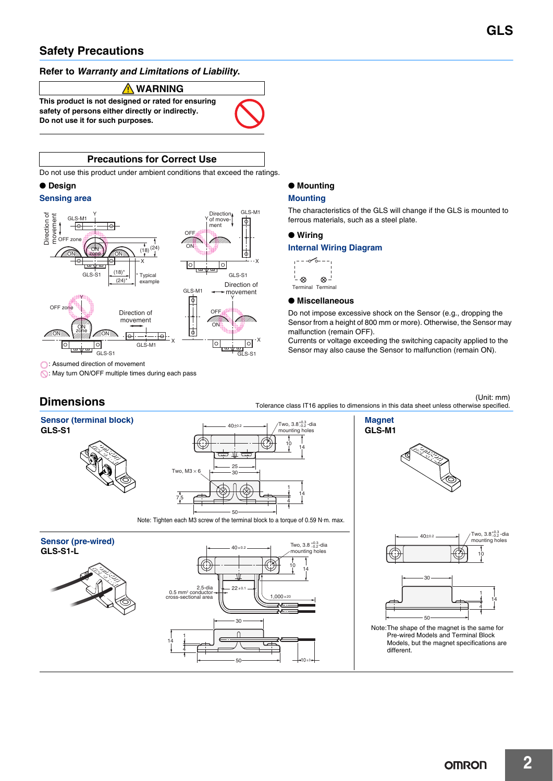## **Safety Precautions**

### **Refer to** *Warranty and Limitations of Liability***.**

#### **WARNING**

**This product is not designed or rated for ensuring safety of persons either directly or indirectly. Do not use it for such purposes.**



### **Precautions for Correct Use**

Do not use this product under ambient conditions that exceed the ratings.

#### ● **Design**

#### **Sensing area**



#### ● **Mounting**

#### **Mounting**

The characteristics of the GLS will change if the GLS is mounted to ferrous materials, such as a steel plate.

#### ● **Wiring**

#### **Internal Wiring Diagram**



### ● **Miscellaneous**

Do not impose excessive shock on the Sensor (e.g., dropping the Sensor from a height of 800 mm or more). Otherwise, the Sensor may malfunction (remain OFF).

Currents or voltage exceeding the switching capacity applied to the Sensor may also cause the Sensor to malfunction (remain ON).

: May turn ON/OFF multiple times during each pass

(Unit: mm)